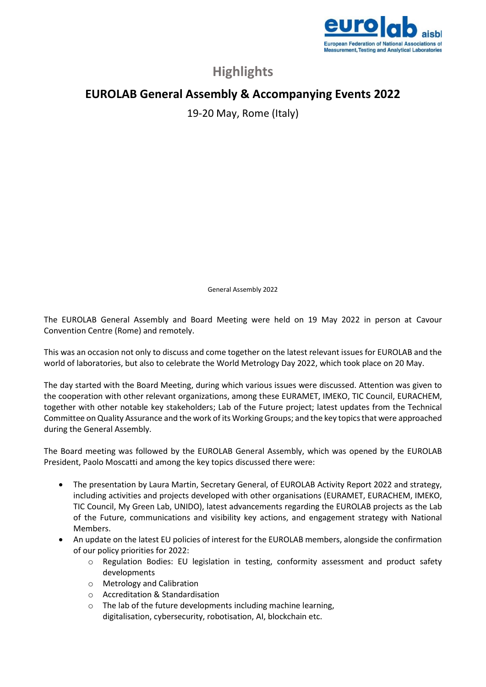

## **Highlights**

## **EUROLAB General Assembly & Accompanying Events 2022**

19-20 May, Rome (Italy)

General Assembly 2022

The EUROLAB General Assembly and Board Meeting were held on 19 May 2022 in person at Cavour Convention Centre (Rome) and remotely.

This was an occasion not only to discuss and come together on the latest relevant issues for EUROLAB and the world of laboratories, but also to celebrate the World Metrology Day 2022, which took place on 20 May.

The day started with the Board Meeting, during which various issues were discussed. Attention was given to the cooperation with other relevant organizations, among these EURAMET, IMEKO, TIC Council, EURACHEM, together with other notable key stakeholders; Lab of the Future project; latest updates from the Technical Committee on Quality Assurance and the work of its Working Groups; and the key topics that were approached during the General Assembly.

The Board meeting was followed by the EUROLAB General Assembly, which was opened by the EUROLAB President, Paolo Moscatti and among the key topics discussed there were:

- The presentation by Laura Martin, Secretary General, of EUROLAB Activity Report 2022 and strategy, including activities and projects developed with other organisations (EURAMET, EURACHEM, IMEKO, TIC Council, My Green Lab, UNIDO), latest advancements regarding the EUROLAB projects as the Lab of the Future, communications and visibility key actions, and engagement strategy with National Members.
- An update on the latest EU policies of interest for the EUROLAB members, alongside the confirmation of our policy priorities for 2022:
	- o Regulation Bodies: EU legislation in testing, conformity assessment and product safety developments
	- o Metrology and Calibration
	- o Accreditation & Standardisation
	- o The lab of the future developments including machine learning, digitalisation, cybersecurity, robotisation, AI, blockchain etc.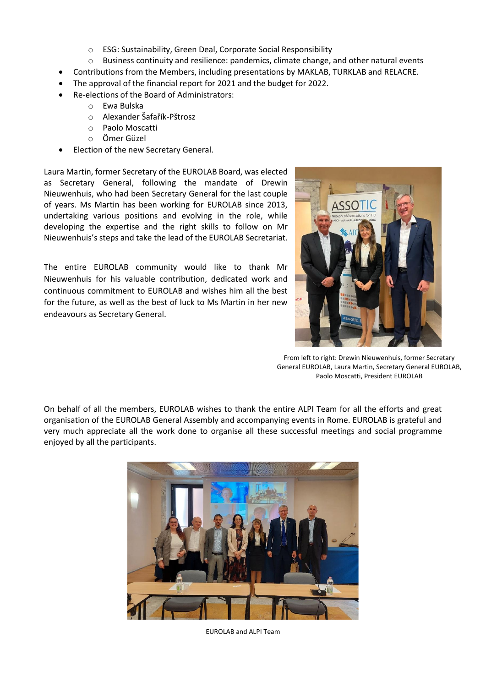- o ESG: Sustainability, Green Deal, Corporate Social Responsibility
- $\circ$  Business continuity and resilience: pandemics, climate change, and other natural events
- Contributions from the Members, including presentations by MAKLAB, TURKLAB and RELACRE.
- The approval of the financial report for 2021 and the budget for 2022.
- Re-elections of the Board of Administrators:
	- o Ewa Bulska
	- o Alexander Šafařík-Pštrosz
	- o Paolo Moscatti
	- o Ömer Güzel
- Election of the new Secretary General.

Laura Martin, former Secretary of the EUROLAB Board, was elected as Secretary General, following the mandate of Drewin Nieuwenhuis, who had been Secretary General for the last couple of years. Ms Martin has been working for EUROLAB since 2013, undertaking various positions and evolving in the role, while developing the expertise and the right skills to follow on Mr Nieuwenhuis's steps and take the lead of the EUROLAB Secretariat.

The entire EUROLAB community would like to thank Mr Nieuwenhuis for his valuable contribution, dedicated work and continuous commitment to EUROLAB and wishes him all the best for the future, as well as the best of luck to Ms Martin in her new endeavours as Secretary General.



From left to right: Drewin Nieuwenhuis, former Secretary General EUROLAB, Laura Martin, Secretary General EUROLAB, Paolo Moscatti, President EUROLAB

On behalf of all the members, EUROLAB wishes to thank the entire ALPI Team for all the efforts and great organisation of the EUROLAB General Assembly and accompanying events in Rome. EUROLAB is grateful and very much appreciate all the work done to organise all these successful meetings and social programme enjoyed by all the participants.



EUROLAB and ALPI Team